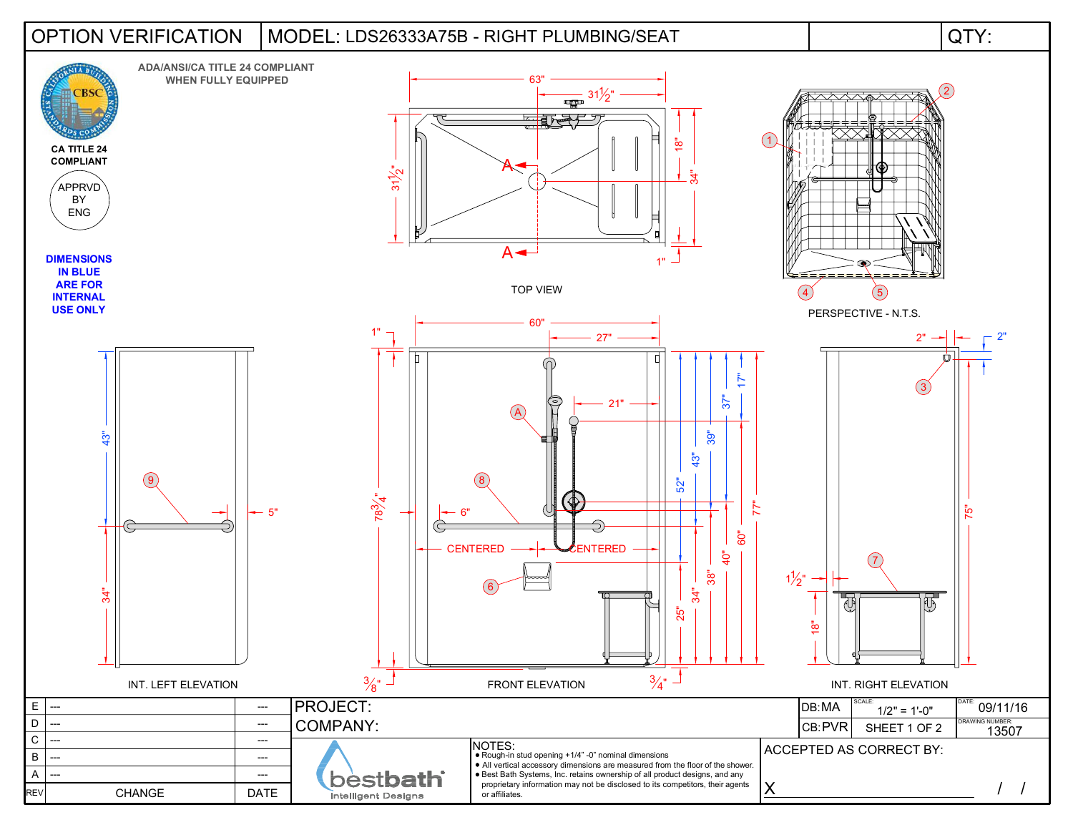## LDS26333A75B - RIGHT PLUMBING/SEAT OPTION VERIFICATION MODEL: QTY: **ADA/ANSI/CA TITLE 24 COMPLIANT**